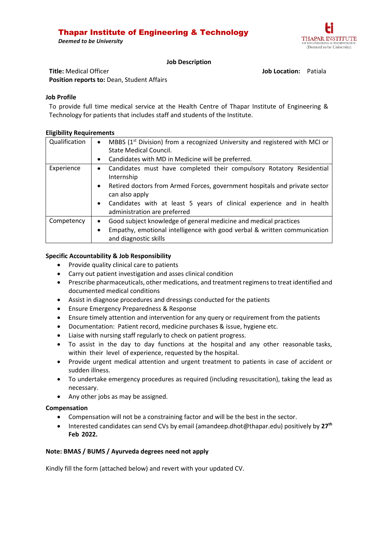# Thapar Institute of Engineering & Technology





#### **Job Description**

**Title:** Medical Officer **Job Location:** Patiala **Position reports to:** Dean, Student Affairs

#### **Job Profile**

To provide full time medical service at the Health Centre of Thapar Institute of Engineering & Technology for patients that includes staff and students of the Institute.

#### **Eligibility Requirements**

| Qualification | MBBS $(1st Division)$ from a recognized University and registered with MCI or<br><b>State Medical Council.</b>     |  |  |  |  |  |
|---------------|--------------------------------------------------------------------------------------------------------------------|--|--|--|--|--|
|               | Candidates with MD in Medicine will be preferred.                                                                  |  |  |  |  |  |
| Experience    | Candidates must have completed their compulsory Rotatory Residential<br>$\bullet$<br>Internship                    |  |  |  |  |  |
|               | Retired doctors from Armed Forces, government hospitals and private sector<br>$\bullet$<br>can also apply          |  |  |  |  |  |
|               | Candidates with at least 5 years of clinical experience and in health<br>$\bullet$<br>administration are preferred |  |  |  |  |  |
| Competency    | Good subject knowledge of general medicine and medical practices<br>$\bullet$                                      |  |  |  |  |  |
|               | Empathy, emotional intelligence with good verbal & written communication<br>٠<br>and diagnostic skills             |  |  |  |  |  |

## **Specific Accountability & Job Responsibility**

- Provide quality clinical care to patients
- Carry out patient investigation and asses clinical condition
- Prescribe pharmaceuticals, other medications, and treatment regimens to treat identified and documented medical conditions
- Assist in diagnose procedures and dressings conducted for the patients
- **•** Ensure Emergency Preparedness & Response
- Ensure timely attention and intervention for any query or requirement from the patients
- Documentation: Patient record, medicine purchases & issue, hygiene etc.
- Liaise with nursing staff regularly to check on patient progress.
- To assist in the day to day functions at the hospital and any other reasonable tasks, within their level of experience, requested by the hospital.
- Provide urgent medical attention and urgent treatment to patients in case of accident or sudden illness.
- To undertake emergency procedures as required (including resuscitation), taking the lead as necessary.
- Any other jobs as may be assigned.

## **Compensation**

- Compensation will not be a constraining factor and will be the best in the sector.
- **•** Interested candidates can send CVs by email (amandeep.dhot@thapar.edu) positively by 27<sup>th</sup> **Feb 2022.**

## **Note: BMAS / BUMS / Ayurveda degrees need not apply**

Kindly fill the form (attached below) and revert with your updated CV.